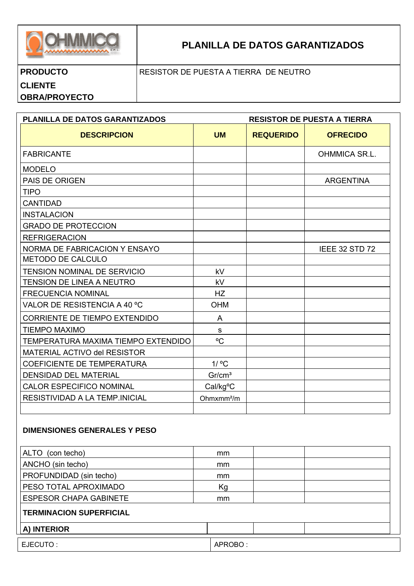

# PLANILLA DE DATOS GARANTIZADOS

## **PRODUCTO**

### RESISTOR DE PUESTA A TIERRA DE NEUTRO

### **CLIENTE**

**OBRA/PROYECTO** 

#### PLANILLA DE DATOS GARANTIZADOS **RESISTOR DE PUESTA A TIERRA DESCRIPCION UM REQUERIDO OFRECIDO FABRICANTE** OHMMICA SR.L. **MODELO** PAIS DE ORIGEN **ARGENTINA TIPO CANTIDAD INSTALACION GRADO DE PROTECCION REFRIGERACION** NORMA DE FABRICACION Y ENSAYO **IEEE 32 STD 72** METODO DE CALCULO TENSION NOMINAL DE SERVICIO kV TENSION DE LINEA A NEUTRO kV **FRECUENCIA NOMINAL**  $HZ$ VALOR DE RESISTENCIA A 40 °C. **OHM** CORRIENTE DE TIEMPO EXTENDIDO  $\overline{A}$ TIEMPO MAXIMO  $\mathbf{s}$  $^{\circ}C$ TEMPERATURA MAXIMA TIEMPO EXTENDIDO MATERIAL ACTIVO del RESISTOR  $1/$  °C COEFICIENTE DE TEMPERATURA **DENSIDAD DEL MATERIAL**  $Gr/cm<sup>3</sup>$ CALOR ESPECIFICO NOMINAL Cal/kg°C RESISTIVIDAD A LA TEMP.INICIAL Ohmxmm<sup>2</sup>/m

### **DIMENSIONES GENERALES Y PESO**

| (con techo)<br><b>ALTO</b>     | mm            |  |
|--------------------------------|---------------|--|
| ANCHO (sin techo)              | mm            |  |
| PROFUNDIDAD (sin techo)        | mm            |  |
| PESO TOTAL APROXIMADO          | Kg            |  |
| <b>ESPESOR CHAPA GABINETE</b>  | <sub>mm</sub> |  |
| <b>TERMINACION SUPERFICIAL</b> |               |  |
| A) INTERIOR                    |               |  |
| EJECUTO :                      | APROBO:       |  |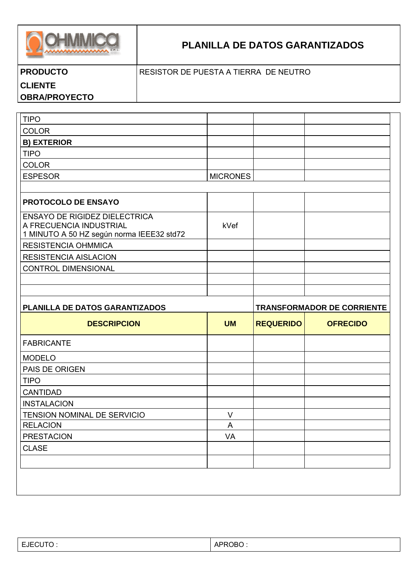

# **PLANILLA DE DATOS GARANTIZADOS**

| <b>PRODUCTO</b> |  |  |  |
|-----------------|--|--|--|
|                 |  |  |  |

### RESISTOR DE PUESTA A TIERRA DE NEUTRO

## **CLIENTE**

**OBRA/PROYECTO** 

| <b>TIPO</b>                                                                                                  |                 |                                   |                 |  |
|--------------------------------------------------------------------------------------------------------------|-----------------|-----------------------------------|-----------------|--|
| <b>COLOR</b>                                                                                                 |                 |                                   |                 |  |
| <b>B) EXTERIOR</b>                                                                                           |                 |                                   |                 |  |
| <b>TIPO</b>                                                                                                  |                 |                                   |                 |  |
| <b>COLOR</b>                                                                                                 |                 |                                   |                 |  |
| <b>ESPESOR</b>                                                                                               | <b>MICRONES</b> |                                   |                 |  |
|                                                                                                              |                 |                                   |                 |  |
| <b>PROTOCOLO DE ENSAYO</b>                                                                                   |                 |                                   |                 |  |
| <b>ENSAYO DE RIGIDEZ DIELECTRICA</b><br>A FRECUENCIA INDUSTRIAL<br>1 MINUTO A 50 HZ según norma IEEE32 std72 | kVef            |                                   |                 |  |
| <b>RESISTENCIA OHMMICA</b>                                                                                   |                 |                                   |                 |  |
| <b>RESISTENCIA AISLACION</b>                                                                                 |                 |                                   |                 |  |
| <b>CONTROL DIMENSIONAL</b>                                                                                   |                 |                                   |                 |  |
|                                                                                                              |                 |                                   |                 |  |
|                                                                                                              |                 |                                   |                 |  |
| PLANILLA DE DATOS GARANTIZADOS                                                                               |                 | <b>TRANSFORMADOR DE CORRIENTE</b> |                 |  |
|                                                                                                              |                 |                                   |                 |  |
| <b>DESCRIPCION</b>                                                                                           | <b>UM</b>       | <b>REQUERIDO</b>                  | <b>OFRECIDO</b> |  |
| <b>FABRICANTE</b>                                                                                            |                 |                                   |                 |  |
| <b>MODELO</b>                                                                                                |                 |                                   |                 |  |
| PAIS DE ORIGEN                                                                                               |                 |                                   |                 |  |
| <b>TIPO</b>                                                                                                  |                 |                                   |                 |  |
| <b>CANTIDAD</b>                                                                                              |                 |                                   |                 |  |
| <b>INSTALACION</b>                                                                                           |                 |                                   |                 |  |
| TENSION NOMINAL DE SERVICIO                                                                                  | $\vee$          |                                   |                 |  |
| <b>RELACION</b>                                                                                              | A               |                                   |                 |  |
| <b>PRESTACION</b>                                                                                            | VA              |                                   |                 |  |
| <b>CLASE</b>                                                                                                 |                 |                                   |                 |  |
|                                                                                                              |                 |                                   |                 |  |